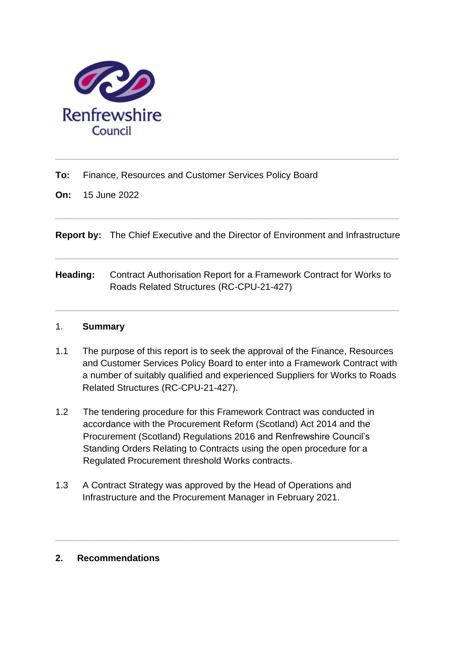

**To:** Finance, Resources and Customer Services Policy Board

**On:** 15 June 2022

**Report by:** The Chief Executive and the Director of Environment and Infrastructure

**\_\_\_\_\_\_\_\_\_\_\_\_\_\_\_\_\_\_\_\_\_\_\_\_\_\_\_\_\_\_\_\_\_\_\_\_\_\_\_\_\_\_\_\_\_\_\_\_\_\_\_\_\_\_\_\_\_\_\_\_\_\_\_\_\_\_\_**

**\_\_\_\_\_\_\_\_\_\_\_\_\_\_\_\_\_\_\_\_\_\_\_\_\_\_\_\_\_\_\_\_\_\_\_\_\_\_\_\_\_\_\_\_\_\_\_\_\_\_\_\_\_\_\_\_\_\_\_\_\_\_\_\_\_\_\_**

**\_\_\_\_\_\_\_\_\_\_\_\_\_\_\_\_\_\_\_\_\_\_\_\_\_\_\_\_\_\_\_\_\_\_\_\_\_\_\_\_\_\_\_\_\_\_\_\_\_\_\_\_\_\_\_\_\_\_\_\_\_\_\_\_\_\_\_**

**Heading:** Contract Authorisation Report for a Framework Contract for Works to Roads Related Structures (RC-CPU-21-427)

**\_\_\_\_\_\_\_\_\_\_\_\_\_\_\_\_\_\_\_\_\_\_\_\_\_\_\_\_\_\_\_\_\_\_\_\_\_\_\_\_\_\_\_\_\_\_\_\_\_\_\_\_\_\_\_\_\_\_\_\_\_\_\_\_\_\_\_**

## 1. **Summary**

- 1.1 The purpose of this report is to seek the approval of the Finance, Resources and Customer Services Policy Board to enter into a Framework Contract with a number of suitably qualified and experienced Suppliers for Works to Roads Related Structures (RC-CPU-21-427).
- 1.2 The tendering procedure for this Framework Contract was conducted in accordance with the Procurement Reform (Scotland) Act 2014 and the Procurement (Scotland) Regulations 2016 and Renfrewshire Council's Standing Orders Relating to Contracts using the open procedure for a Regulated Procurement threshold Works contracts.

**\_\_\_\_\_\_\_\_\_\_\_\_\_\_\_\_\_\_\_\_\_\_\_\_\_\_\_\_\_\_\_\_\_\_\_\_\_\_\_\_\_\_\_\_\_\_\_\_\_\_\_\_\_\_\_\_\_\_\_\_\_\_\_\_\_\_\_**

1.3 A Contract Strategy was approved by the Head of Operations and Infrastructure and the Procurement Manager in February 2021.

# **2. Recommendations**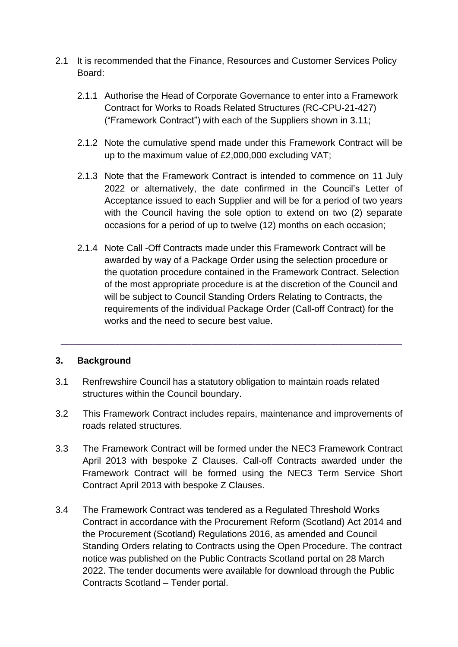- 2.1 It is recommended that the Finance, Resources and Customer Services Policy Board:
	- 2.1.1 Authorise the Head of Corporate Governance to enter into a Framework Contract for Works to Roads Related Structures (RC-CPU-21-427) ("Framework Contract") with each of the Suppliers shown in 3.11;
	- 2.1.2 Note the cumulative spend made under this Framework Contract will be up to the maximum value of £2,000,000 excluding VAT;
	- 2.1.3 Note that the Framework Contract is intended to commence on 11 July 2022 or alternatively, the date confirmed in the Council's Letter of Acceptance issued to each Supplier and will be for a period of two years with the Council having the sole option to extend on two (2) separate occasions for a period of up to twelve (12) months on each occasion;
	- 2.1.4 Note Call -Off Contracts made under this Framework Contract will be awarded by way of a Package Order using the selection procedure or the quotation procedure contained in the Framework Contract. Selection of the most appropriate procedure is at the discretion of the Council and will be subject to Council Standing Orders Relating to Contracts, the requirements of the individual Package Order (Call-off Contract) for the works and the need to secure best value.

## **3. Background**

- 3.1 Renfrewshire Council has a statutory obligation to maintain roads related structures within the Council boundary.
- 3.2 This Framework Contract includes repairs, maintenance and improvements of roads related structures.

**\_\_\_\_\_\_\_\_\_\_\_\_\_\_\_\_\_\_\_\_\_\_\_\_\_\_\_\_\_\_\_\_\_\_\_\_\_\_\_\_\_\_\_\_\_\_\_\_\_\_\_\_\_\_\_\_\_\_\_\_\_\_\_\_\_\_\_\_\_\_\_\_\_\_\_\_\_\_\_\_\_**

- 3.3 The Framework Contract will be formed under the NEC3 Framework Contract April 2013 with bespoke Z Clauses. Call-off Contracts awarded under the Framework Contract will be formed using the NEC3 Term Service Short Contract April 2013 with bespoke Z Clauses.
- 3.4 The Framework Contract was tendered as a Regulated Threshold Works Contract in accordance with the Procurement Reform (Scotland) Act 2014 and the Procurement (Scotland) Regulations 2016, as amended and Council Standing Orders relating to Contracts using the Open Procedure. The contract notice was published on the Public Contracts Scotland portal on 28 March 2022. The tender documents were available for download through the Public Contracts Scotland – Tender portal.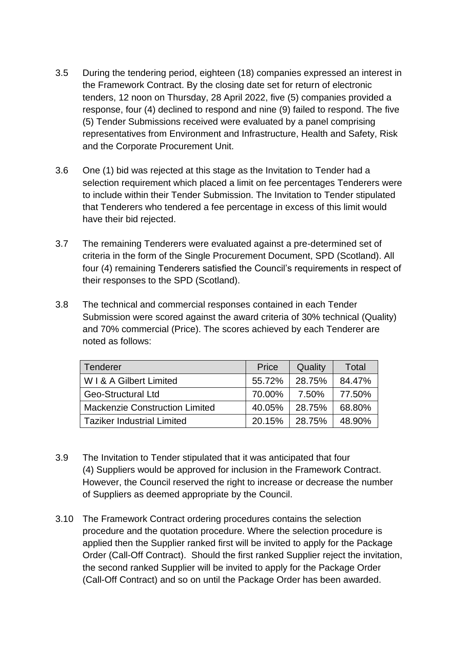- 3.5 During the tendering period, eighteen (18) companies expressed an interest in the Framework Contract. By the closing date set for return of electronic tenders, 12 noon on Thursday, 28 April 2022, five (5) companies provided a response, four (4) declined to respond and nine (9) failed to respond. The five (5) Tender Submissions received were evaluated by a panel comprising representatives from Environment and Infrastructure, Health and Safety, Risk and the Corporate Procurement Unit.
- 3.6 One (1) bid was rejected at this stage as the Invitation to Tender had a selection requirement which placed a limit on fee percentages Tenderers were to include within their Tender Submission. The Invitation to Tender stipulated that Tenderers who tendered a fee percentage in excess of this limit would have their bid rejected.
- 3.7 The remaining Tenderers were evaluated against a pre-determined set of criteria in the form of the Single Procurement Document, SPD (Scotland). All four (4) remaining Tenderers satisfied the Council's requirements in respect of their responses to the SPD (Scotland).
- 3.8 The technical and commercial responses contained in each Tender Submission were scored against the award criteria of 30% technical (Quality) and 70% commercial (Price). The scores achieved by each Tenderer are noted as follows:

| Tenderer                              | Price  | Quality | Total  |
|---------------------------------------|--------|---------|--------|
| W I & A Gilbert Limited               | 55.72% | 28.75%  | 84.47% |
| <b>Geo-Structural Ltd</b>             | 70.00% | 7.50%   | 77.50% |
| <b>Mackenzie Construction Limited</b> | 40.05% | 28.75%  | 68.80% |
| <b>Taziker Industrial Limited</b>     | 20.15% | 28.75%  | 48.90% |

- 3.9 The Invitation to Tender stipulated that it was anticipated that four (4) Suppliers would be approved for inclusion in the Framework Contract. However, the Council reserved the right to increase or decrease the number of Suppliers as deemed appropriate by the Council.
- 3.10 The Framework Contract ordering procedures contains the selection procedure and the quotation procedure. Where the selection procedure is applied then the Supplier ranked first will be invited to apply for the Package Order (Call-Off Contract). Should the first ranked Supplier reject the invitation, the second ranked Supplier will be invited to apply for the Package Order (Call-Off Contract) and so on until the Package Order has been awarded.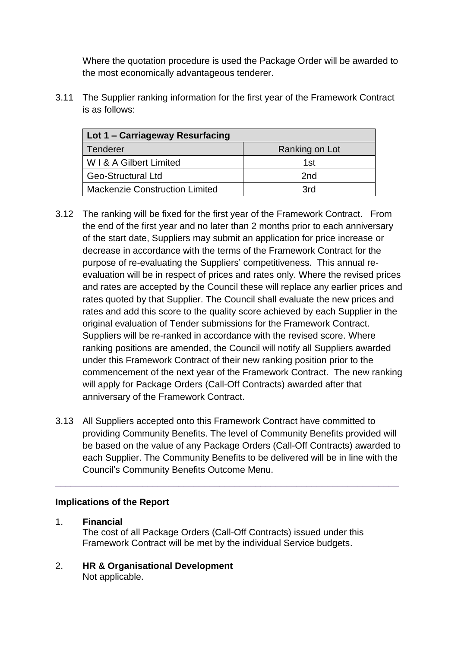Where the quotation procedure is used the Package Order will be awarded to the most economically advantageous tenderer.

3.11 The Supplier ranking information for the first year of the Framework Contract is as follows:

| Lot 1 – Carriageway Resurfacing       |                |  |
|---------------------------------------|----------------|--|
| <b>Tenderer</b>                       | Ranking on Lot |  |
| W I & A Gilbert Limited               | 1st            |  |
| <b>Geo-Structural Ltd</b>             | 2nd            |  |
| <b>Mackenzie Construction Limited</b> | 3rd            |  |

- 3.12 The ranking will be fixed for the first year of the Framework Contract. From the end of the first year and no later than 2 months prior to each anniversary of the start date, Suppliers may submit an application for price increase or decrease in accordance with the terms of the Framework Contract for the purpose of re-evaluating the Suppliers' competitiveness. This annual reevaluation will be in respect of prices and rates only. Where the revised prices and rates are accepted by the Council these will replace any earlier prices and rates quoted by that Supplier. The Council shall evaluate the new prices and rates and add this score to the quality score achieved by each Supplier in the original evaluation of Tender submissions for the Framework Contract. Suppliers will be re-ranked in accordance with the revised score. Where ranking positions are amended, the Council will notify all Suppliers awarded under this Framework Contract of their new ranking position prior to the commencement of the next year of the Framework Contract. The new ranking will apply for Package Orders (Call-Off Contracts) awarded after that anniversary of the Framework Contract.
- 3.13 All Suppliers accepted onto this Framework Contract have committed to providing Community Benefits. The level of Community Benefits provided will be based on the value of any Package Orders (Call-Off Contracts) awarded to each Supplier. The Community Benefits to be delivered will be in line with the Council's Community Benefits Outcome Menu.

**\_\_\_\_\_\_\_\_\_\_\_\_\_\_\_\_\_\_\_\_\_\_\_\_\_\_\_\_\_\_\_\_\_\_\_\_\_\_\_\_\_\_\_\_\_\_\_\_\_\_\_\_\_\_\_\_\_\_\_\_\_\_\_\_\_\_\_**

## **Implications of the Report**

- 1. **Financial** The cost of all Package Orders (Call-Off Contracts) issued under this Framework Contract will be met by the individual Service budgets.
- 2. **HR & Organisational Development** Not applicable.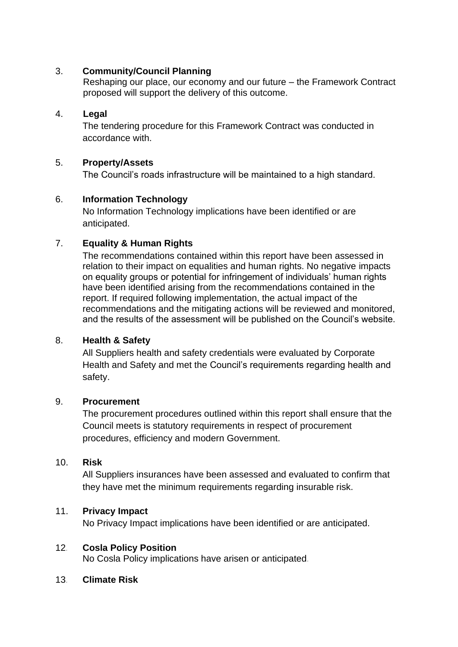## 3. **Community/Council Planning**

Reshaping our place, our economy and our future – the Framework Contract proposed will support the delivery of this outcome.

### 4. **Legal**

The tendering procedure for this Framework Contract was conducted in accordance with.

### 5. **Property/Assets**

The Council's roads infrastructure will be maintained to a high standard.

### 6. **Information Technology**

No Information Technology implications have been identified or are anticipated.

### 7. **Equality & Human Rights**

The recommendations contained within this report have been assessed in relation to their impact on equalities and human rights. No negative impacts on equality groups or potential for infringement of individuals' human rights have been identified arising from the recommendations contained in the report. If required following implementation, the actual impact of the recommendations and the mitigating actions will be reviewed and monitored, and the results of the assessment will be published on the Council's website.

## 8. **Health & Safety**

All Suppliers health and safety credentials were evaluated by Corporate Health and Safety and met the Council's requirements regarding health and safety.

### 9. **Procurement**

The procurement procedures outlined within this report shall ensure that the Council meets is statutory requirements in respect of procurement procedures, efficiency and modern Government.

### 10. **Risk**

All Suppliers insurances have been assessed and evaluated to confirm that they have met the minimum requirements regarding insurable risk.

### 11. **Privacy Impact**

No Privacy Impact implications have been identified or are anticipated.

### 12*.* **Cosla Policy Position**

No Cosla Policy implications have arisen or anticipated*.*

### 13*.* **Climate Risk**